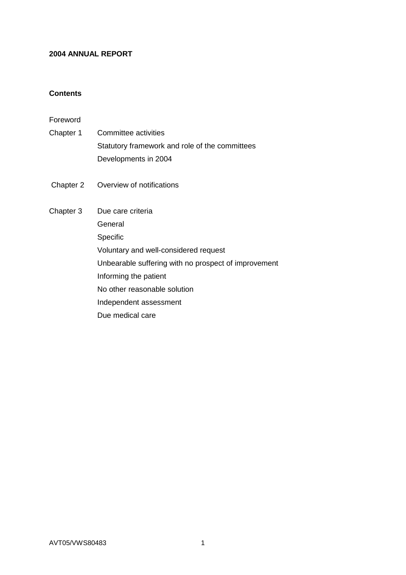### **2004 ANNUAL REPORT**

### **Contents**

Foreword

- Chapter 1 Committee activities Statutory framework and role of the committees Developments in 2004
- Chapter 2 Overview of notifications
- Chapter 3 Due care criteria **General** Specific Voluntary and well-considered request Unbearable suffering with no prospect of improvement Informing the patient No other reasonable solution Independent assessment Due medical care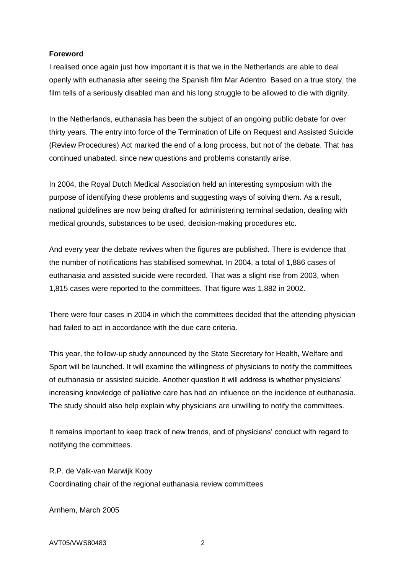### **Foreword**

I realised once again just how important it is that we in the Netherlands are able to deal openly with euthanasia after seeing the Spanish film Mar Adentro. Based on a true story, the film tells of a seriously disabled man and his long struggle to be allowed to die with dignity.

In the Netherlands, euthanasia has been the subject of an ongoing public debate for over thirty years. The entry into force of the Termination of Life on Request and Assisted Suicide (Review Procedures) Act marked the end of a long process, but not of the debate. That has continued unabated, since new questions and problems constantly arise.

In 2004, the Royal Dutch Medical Association held an interesting symposium with the purpose of identifying these problems and suggesting ways of solving them. As a result, national guidelines are now being drafted for administering terminal sedation, dealing with medical grounds, substances to be used, decision-making procedures etc.

And every year the debate revives when the figures are published. There is evidence that the number of notifications has stabilised somewhat. In 2004, a total of 1,886 cases of euthanasia and assisted suicide were recorded. That was a slight rise from 2003, when 1,815 cases were reported to the committees. That figure was 1,882 in 2002.

There were four cases in 2004 in which the committees decided that the attending physician had failed to act in accordance with the due care criteria.

This year, the follow-up study announced by the State Secretary for Health, Welfare and Sport will be launched. It will examine the willingness of physicians to notify the committees of euthanasia or assisted suicide. Another question it will address is whether physicians' increasing knowledge of palliative care has had an influence on the incidence of euthanasia. The study should also help explain why physicians are unwilling to notify the committees.

It remains important to keep track of new trends, and of physicians' conduct with regard to notifying the committees.

R.P. de Valk-van Marwijk Kooy Coordinating chair of the regional euthanasia review committees

Arnhem, March 2005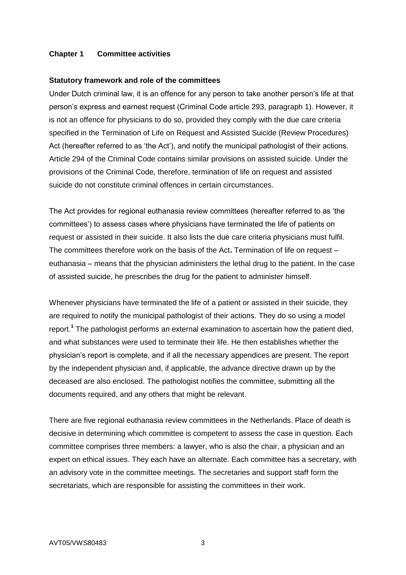### **Chapter 1 Committee activities**

#### **Statutory framework and role of the committees**

Under Dutch criminal law, it is an offence for any person to take another person's life at that person's express and earnest request (Criminal Code article 293, paragraph 1). However, it is not an offence for physicians to do so, provided they comply with the due care criteria specified in the Termination of Life on Request and Assisted Suicide (Review Procedures) Act (hereafter referred to as 'the Act'), and notify the municipal pathologist of their actions. Article 294 of the Criminal Code contains similar provisions on assisted suicide. Under the provisions of the Criminal Code, therefore, termination of life on request and assisted suicide do not constitute criminal offences in certain circumstances.

The Act provides for regional euthanasia review committees (hereafter referred to as 'the committees') to assess cases where physicians have terminated the life of patients on request or assisted in their suicide. It also lists the due care criteria physicians must fulfil. The committees therefore work on the basis of the Act**.** Termination of life on request – euthanasia – means that the physician administers the lethal drug to the patient. In the case of assisted suicide, he prescribes the drug for the patient to administer himself.

Whenever physicians have terminated the life of a patient or assisted in their suicide, they are required to notify the municipal pathologist of their actions. They do so using a model report. **1** The pathologist performs an external examination to ascertain how the patient died, and what substances were used to terminate their life. He then establishes whether the physician's report is complete, and if all the necessary appendices are present. The report by the independent physician and, if applicable, the advance directive drawn up by the deceased are also enclosed. The pathologist notifies the committee, submitting all the documents required, and any others that might be relevant.

There are five regional euthanasia review committees in the Netherlands. Place of death is decisive in determining which committee is competent to assess the case in question. Each committee comprises three members: a lawyer, who is also the chair, a physician and an expert on ethical issues. They each have an alternate. Each committee has a secretary, with an advisory vote in the committee meetings. The secretaries and support staff form the secretariats, which are responsible for assisting the committees in their work.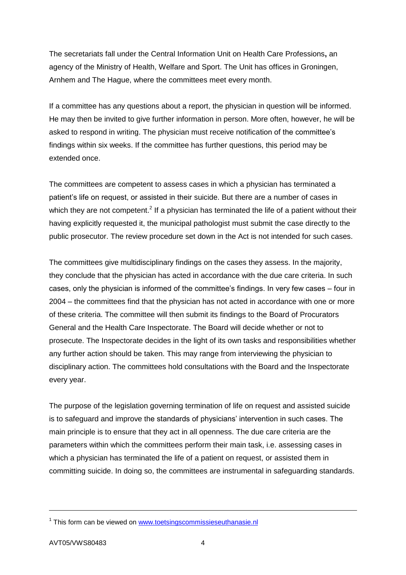The secretariats fall under the Central Information Unit on Health Care Professions**,** an agency of the Ministry of Health, Welfare and Sport. The Unit has offices in Groningen, Arnhem and The Hague, where the committees meet every month.

If a committee has any questions about a report, the physician in question will be informed. He may then be invited to give further information in person. More often, however, he will be asked to respond in writing. The physician must receive notification of the committee's findings within six weeks. If the committee has further questions, this period may be extended once.

The committees are competent to assess cases in which a physician has terminated a patient's life on request, or assisted in their suicide. But there are a number of cases in which they are not competent.<sup>2</sup> If a physician has terminated the life of a patient without their having explicitly requested it, the municipal pathologist must submit the case directly to the public prosecutor. The review procedure set down in the Act is not intended for such cases.

The committees give multidisciplinary findings on the cases they assess. In the majority, they conclude that the physician has acted in accordance with the due care criteria. In such cases, only the physician is informed of the committee's findings. In very few cases – four in 2004 – the committees find that the physician has not acted in accordance with one or more of these criteria. The committee will then submit its findings to the Board of Procurators General and the Health Care Inspectorate. The Board will decide whether or not to prosecute. The Inspectorate decides in the light of its own tasks and responsibilities whether any further action should be taken. This may range from interviewing the physician to disciplinary action. The committees hold consultations with the Board and the Inspectorate every year.

The purpose of the legislation governing termination of life on request and assisted suicide is to safeguard and improve the standards of physicians' intervention in such cases. The main principle is to ensure that they act in all openness. The due care criteria are the parameters within which the committees perform their main task, i.e. assessing cases in which a physician has terminated the life of a patient on request, or assisted them in committing suicide. In doing so, the committees are instrumental in safeguarding standards.

 $\overline{a}$ 

<sup>&</sup>lt;sup>1</sup> This form can be viewed on [www.toetsingscommissieseuthanasie.nl](http://www.toetsingscommissieseuthanasie.nl/)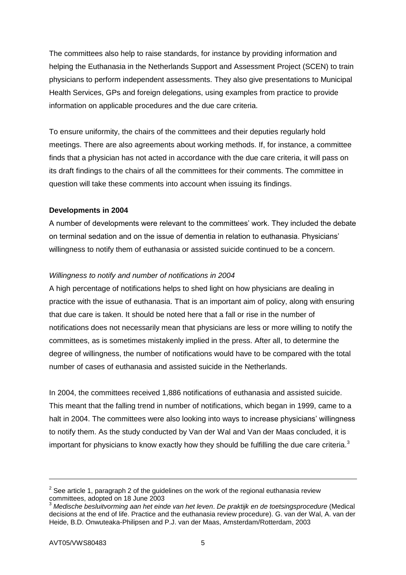The committees also help to raise standards, for instance by providing information and helping the Euthanasia in the Netherlands Support and Assessment Project (SCEN) to train physicians to perform independent assessments. They also give presentations to Municipal Health Services, GPs and foreign delegations, using examples from practice to provide information on applicable procedures and the due care criteria.

To ensure uniformity, the chairs of the committees and their deputies regularly hold meetings. There are also agreements about working methods. If, for instance, a committee finds that a physician has not acted in accordance with the due care criteria, it will pass on its draft findings to the chairs of all the committees for their comments. The committee in question will take these comments into account when issuing its findings.

# **Developments in 2004**

A number of developments were relevant to the committees' work. They included the debate on terminal sedation and on the issue of dementia in relation to euthanasia. Physicians' willingness to notify them of euthanasia or assisted suicide continued to be a concern.

# *Willingness to notify and number of notifications in 2004*

A high percentage of notifications helps to shed light on how physicians are dealing in practice with the issue of euthanasia. That is an important aim of policy, along with ensuring that due care is taken. It should be noted here that a fall or rise in the number of notifications does not necessarily mean that physicians are less or more willing to notify the committees, as is sometimes mistakenly implied in the press. After all, to determine the degree of willingness, the number of notifications would have to be compared with the total number of cases of euthanasia and assisted suicide in the Netherlands.

In 2004, the committees received 1,886 notifications of euthanasia and assisted suicide. This meant that the falling trend in number of notifications, which began in 1999, came to a halt in 2004. The committees were also looking into ways to increase physicians' willingness to notify them. As the study conducted by Van der Wal and Van der Maas concluded, it is important for physicians to know exactly how they should be fulfilling the due care criteria. $3$ 

 $2$  See article 1, paragraph 2 of the guidelines on the work of the regional euthanasia review committees, adopted on 18 June 2003

<sup>3</sup> *Medische besluitvorming aan het einde van het leven*. *De praktijk en de toetsingsprocedure* (Medical decisions at the end of life. Practice and the euthanasia review procedure). G. van der Wal, A. van der Heide, B.D. Onwuteaka-Philipsen and P.J. van der Maas, Amsterdam/Rotterdam, 2003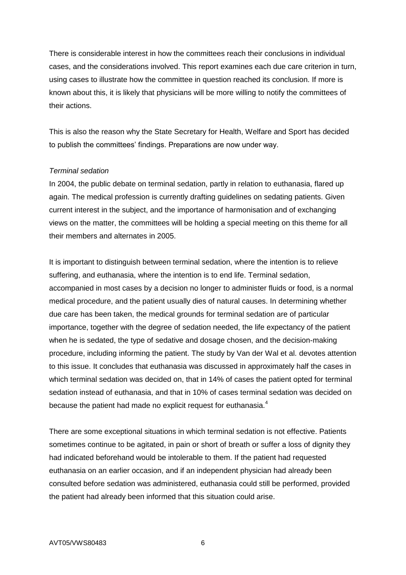There is considerable interest in how the committees reach their conclusions in individual cases, and the considerations involved. This report examines each due care criterion in turn, using cases to illustrate how the committee in question reached its conclusion. If more is known about this, it is likely that physicians will be more willing to notify the committees of their actions.

This is also the reason why the State Secretary for Health, Welfare and Sport has decided to publish the committees' findings. Preparations are now under way.

### *Terminal sedation*

In 2004, the public debate on terminal sedation, partly in relation to euthanasia, flared up again. The medical profession is currently drafting guidelines on sedating patients. Given current interest in the subject, and the importance of harmonisation and of exchanging views on the matter, the committees will be holding a special meeting on this theme for all their members and alternates in 2005.

It is important to distinguish between terminal sedation, where the intention is to relieve suffering, and euthanasia, where the intention is to end life. Terminal sedation, accompanied in most cases by a decision no longer to administer fluids or food, is a normal medical procedure, and the patient usually dies of natural causes. In determining whether due care has been taken, the medical grounds for terminal sedation are of particular importance, together with the degree of sedation needed, the life expectancy of the patient when he is sedated, the type of sedative and dosage chosen, and the decision-making procedure, including informing the patient. The study by Van der Wal et al. devotes attention to this issue. It concludes that euthanasia was discussed in approximately half the cases in which terminal sedation was decided on, that in 14% of cases the patient opted for terminal sedation instead of euthanasia, and that in 10% of cases terminal sedation was decided on because the patient had made no explicit request for euthanasia.<sup>4</sup>

There are some exceptional situations in which terminal sedation is not effective. Patients sometimes continue to be agitated, in pain or short of breath or suffer a loss of dignity they had indicated beforehand would be intolerable to them. If the patient had requested euthanasia on an earlier occasion, and if an independent physician had already been consulted before sedation was administered, euthanasia could still be performed, provided the patient had already been informed that this situation could arise.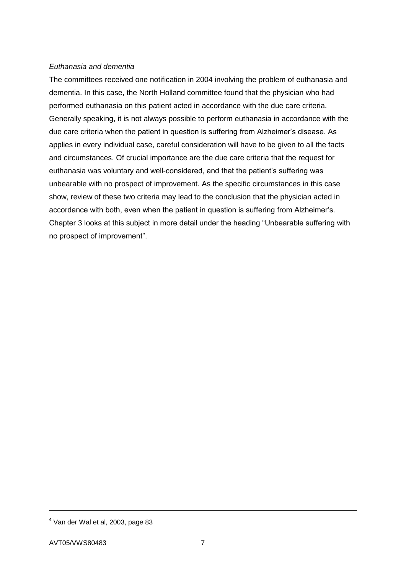# *Euthanasia and dementia*

The committees received one notification in 2004 involving the problem of euthanasia and dementia. In this case, the North Holland committee found that the physician who had performed euthanasia on this patient acted in accordance with the due care criteria. Generally speaking, it is not always possible to perform euthanasia in accordance with the due care criteria when the patient in question is suffering from Alzheimer's disease. As applies in every individual case, careful consideration will have to be given to all the facts and circumstances. Of crucial importance are the due care criteria that the request for euthanasia was voluntary and well-considered, and that the patient's suffering was unbearable with no prospect of improvement. As the specific circumstances in this case show, review of these two criteria may lead to the conclusion that the physician acted in accordance with both, even when the patient in question is suffering from Alzheimer's. Chapter 3 looks at this subject in more detail under the heading "Unbearable suffering with no prospect of improvement".

 $\overline{a}$ 

<sup>4</sup> Van der Wal et al, 2003, page 83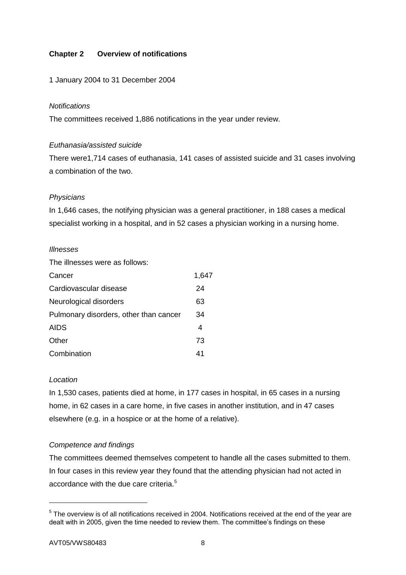# **Chapter 2 Overview of notifications**

# 1 January 2004 to 31 December 2004

### *Notifications*

The committees received 1,886 notifications in the year under review.

# *Euthanasia/assisted suicide*

There were1,714 cases of euthanasia, 141 cases of assisted suicide and 31 cases involving a combination of the two.

# *Physicians*

In 1,646 cases, the notifying physician was a general practitioner, in 188 cases a medical specialist working in a hospital, and in 52 cases a physician working in a nursing home.

### *Illnesses*

The illnesses were as follows:

| Cancer                                 | 1,647 |
|----------------------------------------|-------|
| Cardiovascular disease                 | 24    |
| Neurological disorders                 | 63    |
| Pulmonary disorders, other than cancer | 34    |
| <b>AIDS</b>                            | 4     |
| Other                                  | 73    |
| Combination                            | 41    |

### *Location*

In 1,530 cases, patients died at home, in 177 cases in hospital, in 65 cases in a nursing home, in 62 cases in a care home, in five cases in another institution, and in 47 cases elsewhere (e.g. in a hospice or at the home of a relative).

# *Competence and findings*

The committees deemed themselves competent to handle all the cases submitted to them. In four cases in this review year they found that the attending physician had not acted in accordance with the due care criteria.<sup>5</sup>

<sup>&</sup>lt;sup>5</sup> The overview is of all notifications received in 2004. Notifications received at the end of the year are dealt with in 2005, given the time needed to review them. The committee's findings on these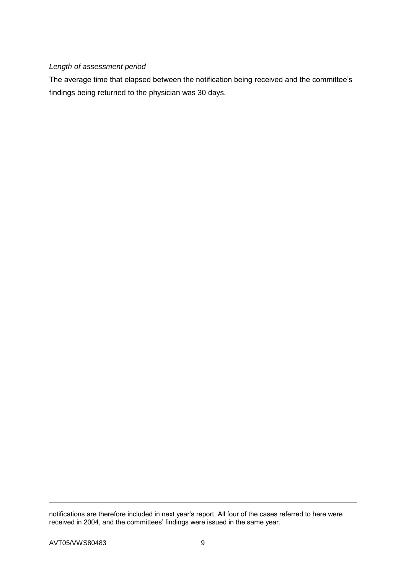# *Length of assessment period*

The average time that elapsed between the notification being received and the committee's findings being returned to the physician was 30 days.

notifications are therefore included in next year's report. All four of the cases referred to here were received in 2004, and the committees' findings were issued in the same year.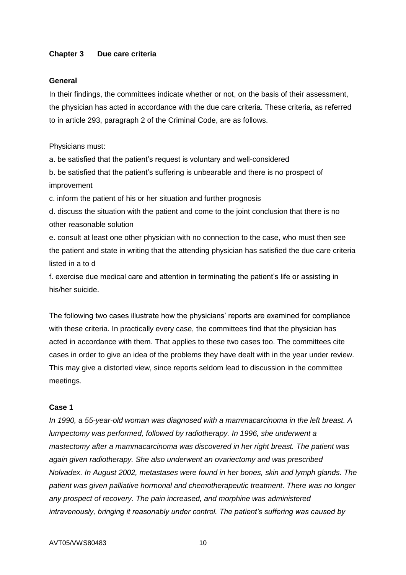### **Chapter 3 Due care criteria**

#### **General**

In their findings, the committees indicate whether or not, on the basis of their assessment, the physician has acted in accordance with the due care criteria. These criteria, as referred to in article 293, paragraph 2 of the Criminal Code, are as follows.

Physicians must:

a. be satisfied that the patient's request is voluntary and well-considered

b. be satisfied that the patient's suffering is unbearable and there is no prospect of improvement

c. inform the patient of his or her situation and further prognosis

d. discuss the situation with the patient and come to the joint conclusion that there is no other reasonable solution

e. consult at least one other physician with no connection to the case, who must then see the patient and state in writing that the attending physician has satisfied the due care criteria listed in a to d

f. exercise due medical care and attention in terminating the patient's life or assisting in his/her suicide.

The following two cases illustrate how the physicians' reports are examined for compliance with these criteria. In practically every case, the committees find that the physician has acted in accordance with them. That applies to these two cases too. The committees cite cases in order to give an idea of the problems they have dealt with in the year under review. This may give a distorted view, since reports seldom lead to discussion in the committee meetings.

# **Case 1**

*In 1990, a 55-year-old woman was diagnosed with a mammacarcinoma in the left breast. A lumpectomy was performed, followed by radiotherapy. In 1996, she underwent a mastectomy after a mammacarcinoma was discovered in her right breast. The patient was again given radiotherapy. She also underwent an ovariectomy and was prescribed Nolvadex. In August 2002, metastases were found in her bones, skin and lymph glands. The patient was given palliative hormonal and chemotherapeutic treatment. There was no longer any prospect of recovery. The pain increased, and morphine was administered intravenously, bringing it reasonably under control. The patient's suffering was caused by*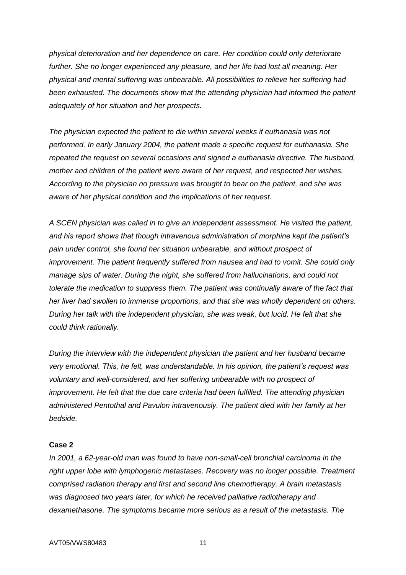*physical deterioration and her dependence on care. Her condition could only deteriorate further. She no longer experienced any pleasure, and her life had lost all meaning. Her physical and mental suffering was unbearable. All possibilities to relieve her suffering had been exhausted. The documents show that the attending physician had informed the patient adequately of her situation and her prospects.*

*The physician expected the patient to die within several weeks if euthanasia was not performed. In early January 2004, the patient made a specific request for euthanasia. She repeated the request on several occasions and signed a euthanasia directive. The husband, mother and children of the patient were aware of her request, and respected her wishes. According to the physician no pressure was brought to bear on the patient, and she was aware of her physical condition and the implications of her request.*

*A SCEN physician was called in to give an independent assessment. He visited the patient, and his report shows that though intravenous administration of morphine kept the patient's pain under control, she found her situation unbearable, and without prospect of improvement. The patient frequently suffered from nausea and had to vomit. She could only manage sips of water. During the night, she suffered from hallucinations, and could not tolerate the medication to suppress them. The patient was continually aware of the fact that her liver had swollen to immense proportions, and that she was wholly dependent on others. During her talk with the independent physician, she was weak, but lucid. He felt that she could think rationally.*

*During the interview with the independent physician the patient and her husband became very emotional. This, he felt, was understandable. In his opinion, the patient's request was voluntary and well-considered, and her suffering unbearable with no prospect of improvement. He felt that the due care criteria had been fulfilled. The attending physician administered Pentothal and Pavulon intravenously. The patient died with her family at her bedside.*

### **Case 2**

*In 2001, a 62-year-old man was found to have non-small-cell bronchial carcinoma in the right upper lobe with lymphogenic metastases. Recovery was no longer possible. Treatment comprised radiation therapy and first and second line chemotherapy. A brain metastasis was diagnosed two years later, for which he received palliative radiotherapy and dexamethasone. The symptoms became more serious as a result of the metastasis. The*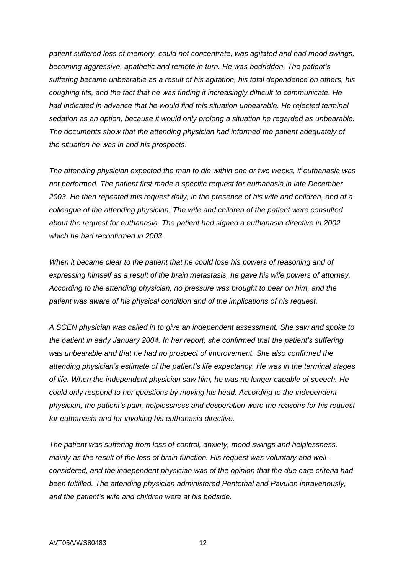*patient suffered loss of memory, could not concentrate, was agitated and had mood swings, becoming aggressive, apathetic and remote in turn. He was bedridden. The patient's suffering became unbearable as a result of his agitation, his total dependence on others, his coughing fits, and the fact that he was finding it increasingly difficult to communicate. He had indicated in advance that he would find this situation unbearable. He rejected terminal sedation as an option, because it would only prolong a situation he regarded as unbearable. The documents show that the attending physician had informed the patient adequately of the situation he was in and his prospects*.

*The attending physician expected the man to die within one or two weeks, if euthanasia was not performed. The patient first made a specific request for euthanasia in late December 2003. He then repeated this request daily, in the presence of his wife and children, and of a colleague of the attending physician. The wife and children of the patient were consulted*  about the request for euthanasia. The patient had signed a euthanasia directive in 2002 *which he had reconfirmed in 2003.* 

*When it became clear to the patient that he could lose his powers of reasoning and of expressing himself as a result of the brain metastasis, he gave his wife powers of attorney. According to the attending physician, no pressure was brought to bear on him, and the patient was aware of his physical condition and of the implications of his request.*

*A SCEN physician was called in to give an independent assessment. She saw and spoke to the patient in early January 2004. In her report, she confirmed that the patient's suffering was unbearable and that he had no prospect of improvement. She also confirmed the attending physician's estimate of the patient's life expectancy. He was in the terminal stages of life. When the independent physician saw him, he was no longer capable of speech. He could only respond to her questions by moving his head. According to the independent physician, the patient's pain, helplessness and desperation were the reasons for his request for euthanasia and for invoking his euthanasia directive.*

*The patient was suffering from loss of control, anxiety, mood swings and helplessness, mainly as the result of the loss of brain function. His request was voluntary and wellconsidered, and the independent physician was of the opinion that the due care criteria had been fulfilled. The attending physician administered Pentothal and Pavulon intravenously, and the patient's wife and children were at his bedside.*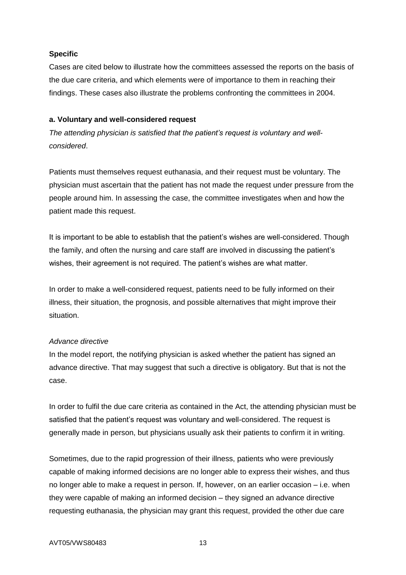# **Specific**

Cases are cited below to illustrate how the committees assessed the reports on the basis of the due care criteria, and which elements were of importance to them in reaching their findings. These cases also illustrate the problems confronting the committees in 2004.

### **a. Voluntary and well-considered request**

*The attending physician is satisfied that the patient's request is voluntary and wellconsidered*.

Patients must themselves request euthanasia, and their request must be voluntary. The physician must ascertain that the patient has not made the request under pressure from the people around him. In assessing the case, the committee investigates when and how the patient made this request.

It is important to be able to establish that the patient's wishes are well-considered. Though the family, and often the nursing and care staff are involved in discussing the patient's wishes, their agreement is not required. The patient's wishes are what matter.

In order to make a well-considered request, patients need to be fully informed on their illness, their situation, the prognosis, and possible alternatives that might improve their situation.

# *Advance directive*

In the model report, the notifying physician is asked whether the patient has signed an advance directive. That may suggest that such a directive is obligatory. But that is not the case.

In order to fulfil the due care criteria as contained in the Act, the attending physician must be satisfied that the patient's request was voluntary and well-considered. The request is generally made in person, but physicians usually ask their patients to confirm it in writing.

Sometimes, due to the rapid progression of their illness, patients who were previously capable of making informed decisions are no longer able to express their wishes, and thus no longer able to make a request in person. If, however, on an earlier occasion – i.e. when they were capable of making an informed decision – they signed an advance directive requesting euthanasia, the physician may grant this request, provided the other due care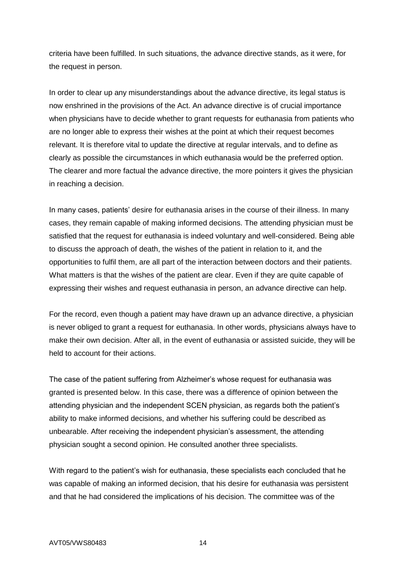criteria have been fulfilled. In such situations, the advance directive stands, as it were, for the request in person.

In order to clear up any misunderstandings about the advance directive, its legal status is now enshrined in the provisions of the Act. An advance directive is of crucial importance when physicians have to decide whether to grant requests for euthanasia from patients who are no longer able to express their wishes at the point at which their request becomes relevant. It is therefore vital to update the directive at regular intervals, and to define as clearly as possible the circumstances in which euthanasia would be the preferred option. The clearer and more factual the advance directive, the more pointers it gives the physician in reaching a decision.

In many cases, patients' desire for euthanasia arises in the course of their illness. In many cases, they remain capable of making informed decisions. The attending physician must be satisfied that the request for euthanasia is indeed voluntary and well-considered. Being able to discuss the approach of death, the wishes of the patient in relation to it, and the opportunities to fulfil them, are all part of the interaction between doctors and their patients. What matters is that the wishes of the patient are clear. Even if they are quite capable of expressing their wishes and request euthanasia in person, an advance directive can help.

For the record, even though a patient may have drawn up an advance directive, a physician is never obliged to grant a request for euthanasia. In other words, physicians always have to make their own decision. After all, in the event of euthanasia or assisted suicide, they will be held to account for their actions.

The case of the patient suffering from Alzheimer's whose request for euthanasia was granted is presented below. In this case, there was a difference of opinion between the attending physician and the independent SCEN physician, as regards both the patient's ability to make informed decisions, and whether his suffering could be described as unbearable. After receiving the independent physician's assessment, the attending physician sought a second opinion. He consulted another three specialists.

With regard to the patient's wish for euthanasia, these specialists each concluded that he was capable of making an informed decision, that his desire for euthanasia was persistent and that he had considered the implications of his decision. The committee was of the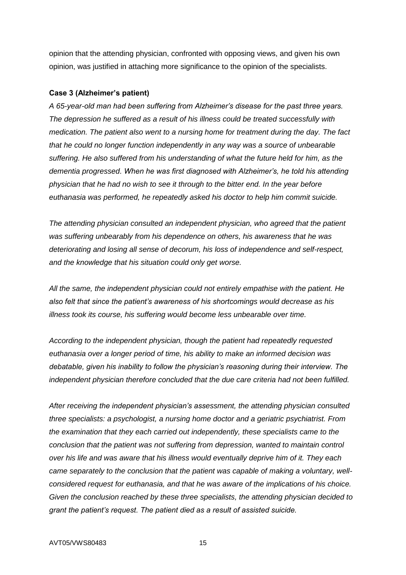opinion that the attending physician, confronted with opposing views, and given his own opinion, was justified in attaching more significance to the opinion of the specialists.

#### **Case 3 (Alzheimer's patient)**

*A 65-year-old man had been suffering from Alzheimer's disease for the past three years. The depression he suffered as a result of his illness could be treated successfully with medication. The patient also went to a nursing home for treatment during the day. The fact that he could no longer function independently in any way was a source of unbearable suffering. He also suffered from his understanding of what the future held for him, as the dementia progressed. When he was first diagnosed with Alzheimer's, he told his attending physician that he had no wish to see it through to the bitter end. In the year before euthanasia was performed, he repeatedly asked his doctor to help him commit suicide.*

*The attending physician consulted an independent physician, who agreed that the patient was suffering unbearably from his dependence on others, his awareness that he was deteriorating and losing all sense of decorum, his loss of independence and self-respect, and the knowledge that his situation could only get worse.*

*All the same, the independent physician could not entirely empathise with the patient. He also felt that since the patient's awareness of his shortcomings would decrease as his illness took its course, his suffering would become less unbearable over time.*

*According to the independent physician, though the patient had repeatedly requested euthanasia over a longer period of time, his ability to make an informed decision was debatable, given his inability to follow the physician's reasoning during their interview. The independent physician therefore concluded that the due care criteria had not been fulfilled.*

*After receiving the independent physician's assessment, the attending physician consulted three specialists: a psychologist, a nursing home doctor and a geriatric psychiatrist. From the examination that they each carried out independently, these specialists came to the conclusion that the patient was not suffering from depression, wanted to maintain control over his life and was aware that his illness would eventually deprive him of it. They each came separately to the conclusion that the patient was capable of making a voluntary, wellconsidered request for euthanasia, and that he was aware of the implications of his choice. Given the conclusion reached by these three specialists, the attending physician decided to grant the patient's request. The patient died as a result of assisted suicide.*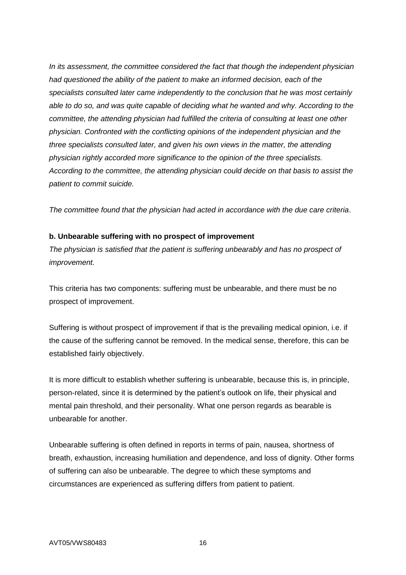*In its assessment, the committee considered the fact that though the independent physician had questioned the ability of the patient to make an informed decision, each of the specialists consulted later came independently to the conclusion that he was most certainly able to do so, and was quite capable of deciding what he wanted and why. According to the committee, the attending physician had fulfilled the criteria of consulting at least one other physician. Confronted with the conflicting opinions of the independent physician and the three specialists consulted later, and given his own views in the matter, the attending physician rightly accorded more significance to the opinion of the three specialists. According to the committee, the attending physician could decide on that basis to assist the patient to commit suicide.* 

*The committee found that the physician had acted in accordance with the due care criteria*.

### **b. Unbearable suffering with no prospect of improvement**

*The physician is satisfied that the patient is suffering unbearably and has no prospect of improvement.*

This criteria has two components: suffering must be unbearable, and there must be no prospect of improvement.

Suffering is without prospect of improvement if that is the prevailing medical opinion, i.e. if the cause of the suffering cannot be removed. In the medical sense, therefore, this can be established fairly objectively.

It is more difficult to establish whether suffering is unbearable, because this is, in principle, person-related, since it is determined by the patient's outlook on life, their physical and mental pain threshold, and their personality. What one person regards as bearable is unbearable for another.

Unbearable suffering is often defined in reports in terms of pain, nausea, shortness of breath, exhaustion, increasing humiliation and dependence, and loss of dignity. Other forms of suffering can also be unbearable. The degree to which these symptoms and circumstances are experienced as suffering differs from patient to patient.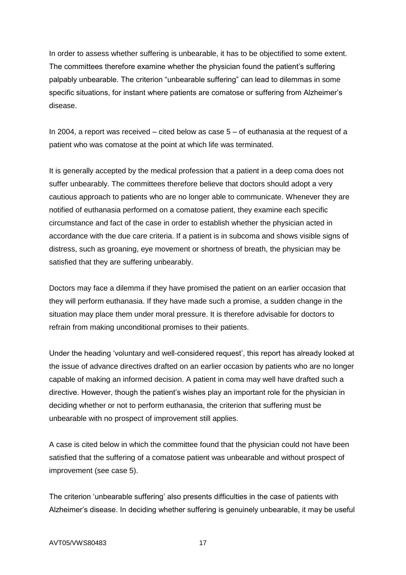In order to assess whether suffering is unbearable, it has to be objectified to some extent. The committees therefore examine whether the physician found the patient's suffering palpably unbearable. The criterion "unbearable suffering" can lead to dilemmas in some specific situations, for instant where patients are comatose or suffering from Alzheimer's disease.

In 2004, a report was received – cited below as case 5 – of euthanasia at the request of a patient who was comatose at the point at which life was terminated.

It is generally accepted by the medical profession that a patient in a deep coma does not suffer unbearably. The committees therefore believe that doctors should adopt a very cautious approach to patients who are no longer able to communicate. Whenever they are notified of euthanasia performed on a comatose patient, they examine each specific circumstance and fact of the case in order to establish whether the physician acted in accordance with the due care criteria. If a patient is in subcoma and shows visible signs of distress, such as groaning, eye movement or shortness of breath, the physician may be satisfied that they are suffering unbearably.

Doctors may face a dilemma if they have promised the patient on an earlier occasion that they will perform euthanasia. If they have made such a promise, a sudden change in the situation may place them under moral pressure. It is therefore advisable for doctors to refrain from making unconditional promises to their patients.

Under the heading 'voluntary and well-considered request', this report has already looked at the issue of advance directives drafted on an earlier occasion by patients who are no longer capable of making an informed decision. A patient in coma may well have drafted such a directive. However, though the patient's wishes play an important role for the physician in deciding whether or not to perform euthanasia, the criterion that suffering must be unbearable with no prospect of improvement still applies.

A case is cited below in which the committee found that the physician could not have been satisfied that the suffering of a comatose patient was unbearable and without prospect of improvement (see case 5).

The criterion 'unbearable suffering' also presents difficulties in the case of patients with Alzheimer's disease. In deciding whether suffering is genuinely unbearable, it may be useful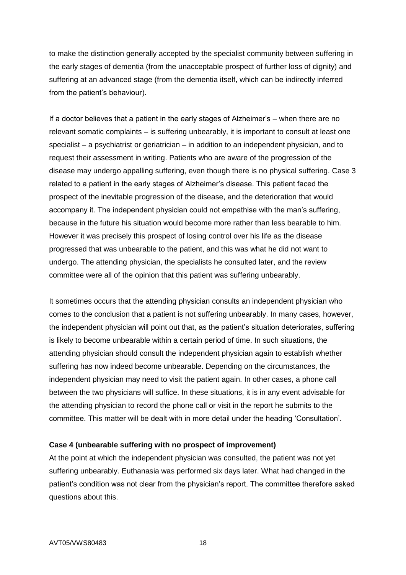to make the distinction generally accepted by the specialist community between suffering in the early stages of dementia (from the unacceptable prospect of further loss of dignity) and suffering at an advanced stage (from the dementia itself, which can be indirectly inferred from the patient's behaviour).

If a doctor believes that a patient in the early stages of Alzheimer's – when there are no relevant somatic complaints – is suffering unbearably, it is important to consult at least one specialist – a psychiatrist or geriatrician – in addition to an independent physician, and to request their assessment in writing. Patients who are aware of the progression of the disease may undergo appalling suffering, even though there is no physical suffering. Case 3 related to a patient in the early stages of Alzheimer's disease. This patient faced the prospect of the inevitable progression of the disease, and the deterioration that would accompany it. The independent physician could not empathise with the man's suffering, because in the future his situation would become more rather than less bearable to him. However it was precisely this prospect of losing control over his life as the disease progressed that was unbearable to the patient, and this was what he did not want to undergo. The attending physician, the specialists he consulted later, and the review committee were all of the opinion that this patient was suffering unbearably.

It sometimes occurs that the attending physician consults an independent physician who comes to the conclusion that a patient is not suffering unbearably. In many cases, however, the independent physician will point out that, as the patient's situation deteriorates, suffering is likely to become unbearable within a certain period of time. In such situations, the attending physician should consult the independent physician again to establish whether suffering has now indeed become unbearable. Depending on the circumstances, the independent physician may need to visit the patient again. In other cases, a phone call between the two physicians will suffice. In these situations, it is in any event advisable for the attending physician to record the phone call or visit in the report he submits to the committee. This matter will be dealt with in more detail under the heading 'Consultation'.

### **Case 4 (unbearable suffering with no prospect of improvement)**

At the point at which the independent physician was consulted, the patient was not yet suffering unbearably. Euthanasia was performed six days later. What had changed in the patient's condition was not clear from the physician's report. The committee therefore asked questions about this.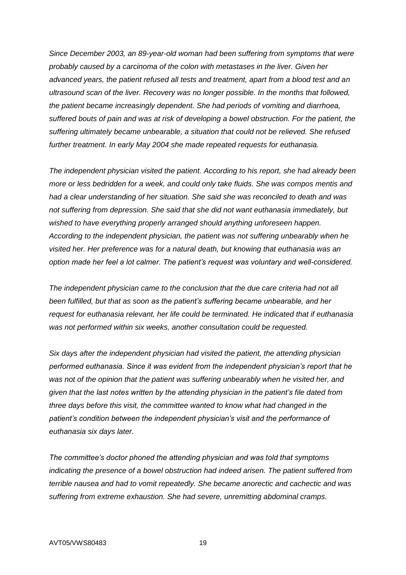*Since December 2003, an 89-year-old woman had been suffering from symptoms that were probably caused by a carcinoma of the colon with metastases in the liver. Given her advanced years, the patient refused all tests and treatment, apart from a blood test and an ultrasound scan of the liver. Recovery was no longer possible. In the months that followed, the patient became increasingly dependent. She had periods of vomiting and diarrhoea, suffered bouts of pain and was at risk of developing a bowel obstruction. For the patient, the suffering ultimately became unbearable, a situation that could not be relieved. She refused further treatment. In early May 2004 she made repeated requests for euthanasia.* 

*The independent physician visited the patient. According to his report, she had already been more or less bedridden for a week, and could only take fluids. She was compos mentis and had a clear understanding of her situation. She said she was reconciled to death and was not suffering from depression. She said that she did not want euthanasia immediately, but wished to have everything properly arranged should anything unforeseen happen. According to the independent physician, the patient was not suffering unbearably when he visited her. Her preference was for a natural death, but knowing that euthanasia was an option made her feel a lot calmer. The patient's request was voluntary and well-considered.*

*The independent physician came to the conclusion that the due care criteria had not all been fulfilled, but that as soon as the patient's suffering became unbearable, and her request for euthanasia relevant, her life could be terminated. He indicated that if euthanasia was not performed within six weeks, another consultation could be requested.*

*Six days after the independent physician had visited the patient, the attending physician performed euthanasia. Since it was evident from the independent physician's report that he was not of the opinion that the patient was suffering unbearably when he visited her, and given that the last notes written by the attending physician in the patient's file dated from three days before this visit, the committee wanted to know what had changed in the patient's condition between the independent physician's visit and the performance of euthanasia six days later.*

*The committee's doctor phoned the attending physician and was told that symptoms indicating the presence of a bowel obstruction had indeed arisen. The patient suffered from terrible nausea and had to vomit repeatedly. She became anorectic and cachectic and was suffering from extreme exhaustion. She had severe, unremitting abdominal cramps.*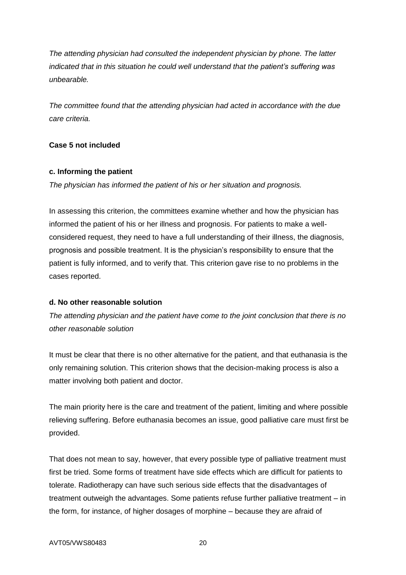*The attending physician had consulted the independent physician by phone. The latter indicated that in this situation he could well understand that the patient's suffering was unbearable.* 

*The committee found that the attending physician had acted in accordance with the due care criteria.* 

# **Case 5 not included**

### **c. Informing the patient**

*The physician has informed the patient of his or her situation and prognosis.*

In assessing this criterion, the committees examine whether and how the physician has informed the patient of his or her illness and prognosis. For patients to make a wellconsidered request, they need to have a full understanding of their illness, the diagnosis, prognosis and possible treatment. It is the physician's responsibility to ensure that the patient is fully informed, and to verify that. This criterion gave rise to no problems in the cases reported.

# **d. No other reasonable solution**

*The attending physician and the patient have come to the joint conclusion that there is no other reasonable solution*

It must be clear that there is no other alternative for the patient, and that euthanasia is the only remaining solution. This criterion shows that the decision-making process is also a matter involving both patient and doctor.

The main priority here is the care and treatment of the patient, limiting and where possible relieving suffering. Before euthanasia becomes an issue, good palliative care must first be provided.

That does not mean to say, however, that every possible type of palliative treatment must first be tried. Some forms of treatment have side effects which are difficult for patients to tolerate. Radiotherapy can have such serious side effects that the disadvantages of treatment outweigh the advantages. Some patients refuse further palliative treatment – in the form, for instance, of higher dosages of morphine – because they are afraid of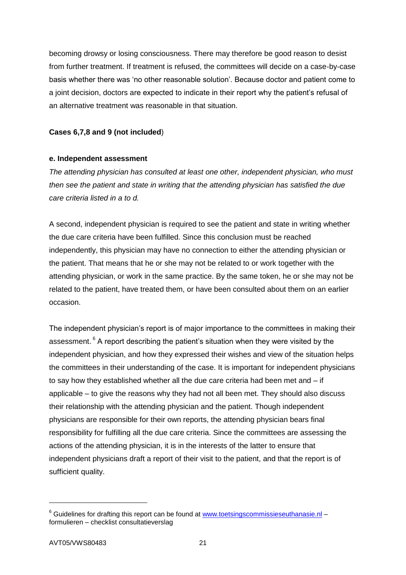becoming drowsy or losing consciousness. There may therefore be good reason to desist from further treatment. If treatment is refused, the committees will decide on a case-by-case basis whether there was 'no other reasonable solution'. Because doctor and patient come to a joint decision, doctors are expected to indicate in their report why the patient's refusal of an alternative treatment was reasonable in that situation.

# **Cases 6,7,8 and 9 (not included**)

### **e. Independent assessment**

*The attending physician has consulted at least one other, independent physician, who must then see the patient and state in writing that the attending physician has satisfied the due care criteria listed in a to d.*

A second, independent physician is required to see the patient and state in writing whether the due care criteria have been fulfilled. Since this conclusion must be reached independently, this physician may have no connection to either the attending physician or the patient. That means that he or she may not be related to or work together with the attending physician, or work in the same practice. By the same token, he or she may not be related to the patient, have treated them, or have been consulted about them on an earlier occasion.

The independent physician's report is of major importance to the committees in making their assessment. <sup>6</sup> A report describing the patient's situation when they were visited by the independent physician, and how they expressed their wishes and view of the situation helps the committees in their understanding of the case. It is important for independent physicians to say how they established whether all the due care criteria had been met and – if applicable – to give the reasons why they had not all been met. They should also discuss their relationship with the attending physician and the patient. Though independent physicians are responsible for their own reports, the attending physician bears final responsibility for fulfilling all the due care criteria. Since the committees are assessing the actions of the attending physician, it is in the interests of the latter to ensure that independent physicians draft a report of their visit to the patient, and that the report is of sufficient quality.

 $6$  Guidelines for drafting this report can be found at [www.toetsingscommissieseuthanasie.nl](http://www.toetsingscommissieeuthanasie.nl/) – formulieren – checklist consultatieverslag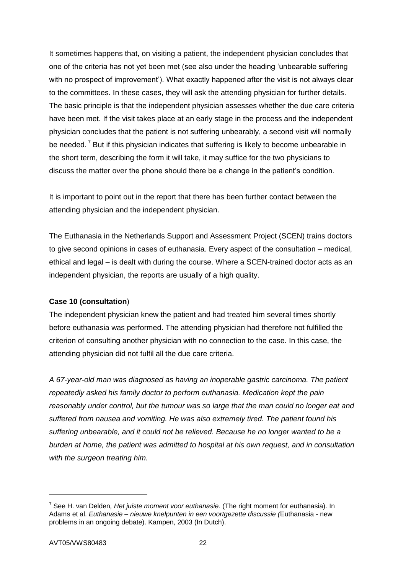It sometimes happens that, on visiting a patient, the independent physician concludes that one of the criteria has not yet been met (see also under the heading 'unbearable suffering with no prospect of improvement'). What exactly happened after the visit is not always clear to the committees. In these cases, they will ask the attending physician for further details. The basic principle is that the independent physician assesses whether the due care criteria have been met. If the visit takes place at an early stage in the process and the independent physician concludes that the patient is not suffering unbearably, a second visit will normally be needed.<sup> $7$ </sup> But if this physician indicates that suffering is likely to become unbearable in the short term, describing the form it will take, it may suffice for the two physicians to discuss the matter over the phone should there be a change in the patient's condition.

It is important to point out in the report that there has been further contact between the attending physician and the independent physician.

The Euthanasia in the Netherlands Support and Assessment Project (SCEN) trains doctors to give second opinions in cases of euthanasia. Every aspect of the consultation – medical, ethical and legal – is dealt with during the course. Where a SCEN-trained doctor acts as an independent physician, the reports are usually of a high quality.

# **Case 10 (consultation**)

The independent physician knew the patient and had treated him several times shortly before euthanasia was performed. The attending physician had therefore not fulfilled the criterion of consulting another physician with no connection to the case. In this case, the attending physician did not fulfil all the due care criteria.

*A 67-year-old man was diagnosed as having an inoperable gastric carcinoma. The patient repeatedly asked his family doctor to perform euthanasia. Medication kept the pain reasonably under control, but the tumour was so large that the man could no longer eat and suffered from nausea and vomiting. He was also extremely tired. The patient found his suffering unbearable, and it could not be relieved. Because he no longer wanted to be a burden at home, the patient was admitted to hospital at his own request, and in consultation with the surgeon treating him.*

<sup>7</sup> See H. van Delden*, Het juiste moment voor euthanasie*. (The right moment for euthanasia). In Adams et al. *Euthanasie – nieuwe knelpunten in een voortgezette discussie (*Euthanasia *-* new problems in an ongoing debate). Kampen, 2003 (In Dutch).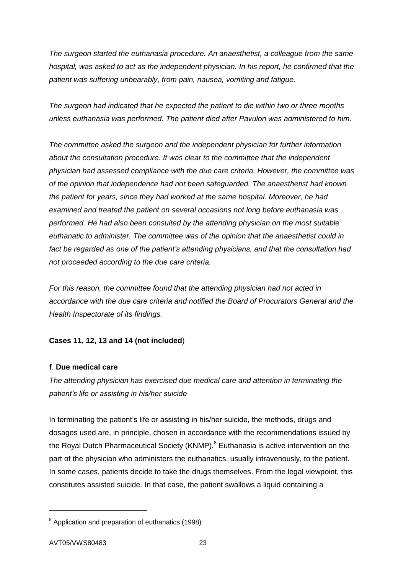*The surgeon started the euthanasia procedure. An anaesthetist, a colleague from the same hospital, was asked to act as the independent physician. In his report, he confirmed that the patient was suffering unbearably, from pain, nausea, vomiting and fatigue.*

*The surgeon had indicated that he expected the patient to die within two or three months unless euthanasia was performed. The patient died after Pavulon was administered to him.*

*The committee asked the surgeon and the independent physician for further information about the consultation procedure. It was clear to the committee that the independent physician had assessed compliance with the due care criteria. However, the committee was of the opinion that independence had not been safeguarded. The anaesthetist had known the patient for years, since they had worked at the same hospital. Moreover, he had examined and treated the patient on several occasions not long before euthanasia was performed. He had also been consulted by the attending physician on the most suitable euthanatic to administer. The committee was of the opinion that the anaesthetist could in fact be regarded as one of the patient's attending physicians, and that the consultation had not proceeded according to the due care criteria.* 

*For this reason, the committee found that the attending physician had not acted in accordance with the due care criteria and notified the Board of Procurators General and the Health Inspectorate of its findings.*

# **Cases 11, 12, 13 and 14 (not included**)

# **f**. **Due medical care**

*The attending physician has exercised due medical care and attention in terminating the patient's life or assisting in his/her suicide*

In terminating the patient's life or assisting in his/her suicide, the methods, drugs and dosages used are, in principle, chosen in accordance with the recommendations issued by the Royal Dutch Pharmaceutical Society (KNMP).<sup>8</sup> Euthanasia is active intervention on the part of the physician who administers the euthanatics, usually intravenously, to the patient. In some cases, patients decide to take the drugs themselves. From the legal viewpoint, this constitutes assisted suicide. In that case, the patient swallows a liquid containing a

 $\overline{a}$ 

<sup>&</sup>lt;sup>8</sup> Application and preparation of euthanatics (1998)